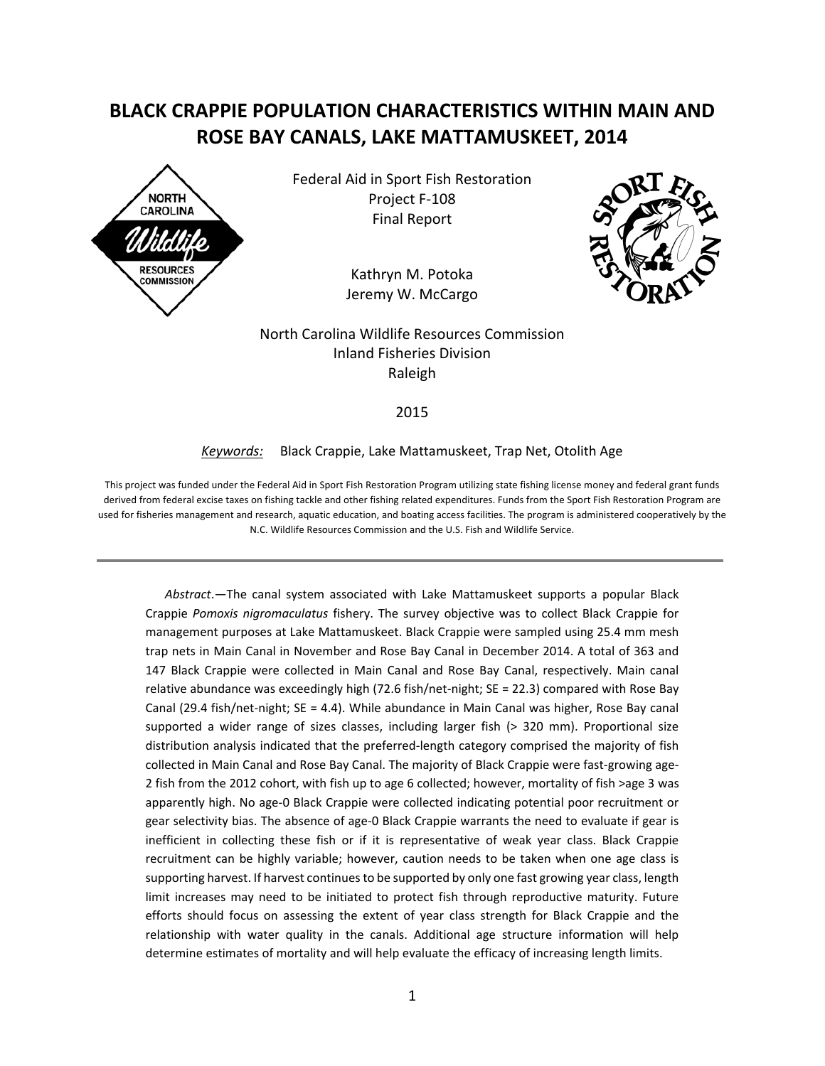# **BLACK CRAPPIE POPULATION CHARACTERISTICS WITHIN MAIN AND ROSE BAY CANALS, LAKE MATTAMUSKEET, 2014**



Federal Aid in Sport Fish Restoration Project F-108 Final Report

> Kathryn M. Potoka Jeremy W. McCargo



North Carolina Wildlife Resources Commission Inland Fisheries Division Raleigh

2015

#### *Keywords:* Black Crappie, Lake Mattamuskeet, Trap Net, Otolith Age

This project was funded under the Federal Aid in Sport Fish Restoration Program utilizing state fishing license money and federal grant funds derived from federal excise taxes on fishing tackle and other fishing related expenditures. Funds from the Sport Fish Restoration Program are used for fisheries management and research, aquatic education, and boating access facilities. The program is administered cooperatively by the N.C. Wildlife Resources Commission and the U.S. Fish and Wildlife Service.

*Abstract*.—The canal system associated with Lake Mattamuskeet supports a popular Black Crappie *Pomoxis nigromaculatus* fishery. The survey objective was to collect Black Crappie for management purposes at Lake Mattamuskeet. Black Crappie were sampled using 25.4 mm mesh trap nets in Main Canal in November and Rose Bay Canal in December 2014. A total of 363 and 147 Black Crappie were collected in Main Canal and Rose Bay Canal, respectively. Main canal relative abundance was exceedingly high (72.6 fish/net-night; SE = 22.3) compared with Rose Bay Canal (29.4 fish/net-night; SE = 4.4). While abundance in Main Canal was higher, Rose Bay canal supported a wider range of sizes classes, including larger fish (> 320 mm). Proportional size distribution analysis indicated that the preferred-length category comprised the majority of fish collected in Main Canal and Rose Bay Canal. The majority of Black Crappie were fast-growing age-2 fish from the 2012 cohort, with fish up to age 6 collected; however, mortality of fish >age 3 was apparently high. No age-0 Black Crappie were collected indicating potential poor recruitment or gear selectivity bias. The absence of age-0 Black Crappie warrants the need to evaluate if gear is inefficient in collecting these fish or if it is representative of weak year class. Black Crappie recruitment can be highly variable; however, caution needs to be taken when one age class is supporting harvest. If harvest continues to be supported by only one fast growing year class, length limit increases may need to be initiated to protect fish through reproductive maturity. Future efforts should focus on assessing the extent of year class strength for Black Crappie and the relationship with water quality in the canals. Additional age structure information will help determine estimates of mortality and will help evaluate the efficacy of increasing length limits.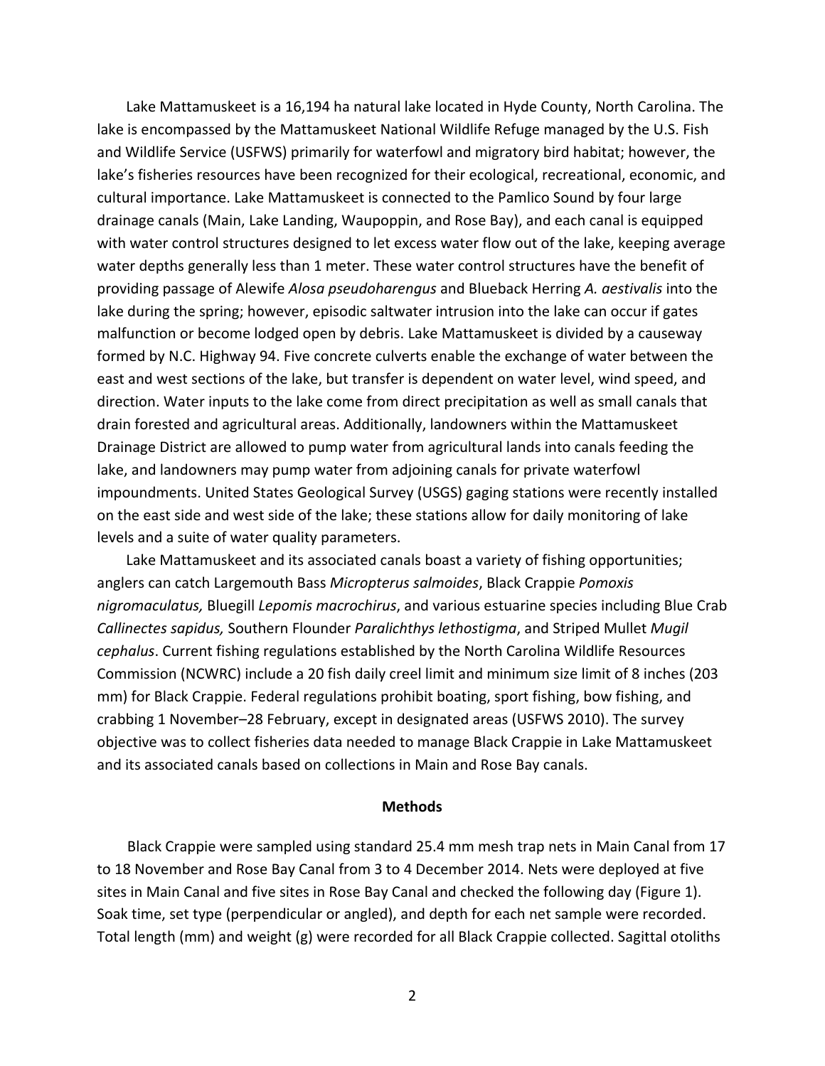Lake Mattamuskeet is a 16,194 ha natural lake located in Hyde County, North Carolina. The lake is encompassed by the Mattamuskeet National Wildlife Refuge managed by the U.S. Fish and Wildlife Service (USFWS) primarily for waterfowl and migratory bird habitat; however, the lake's fisheries resources have been recognized for their ecological, recreational, economic, and cultural importance. Lake Mattamuskeet is connected to the Pamlico Sound by four large drainage canals (Main, Lake Landing, Waupoppin, and Rose Bay), and each canal is equipped with water control structures designed to let excess water flow out of the lake, keeping average water depths generally less than 1 meter. These water control structures have the benefit of providing passage of Alewife *Alosa pseudoharengus* and Blueback Herring *A. aestivalis* into the lake during the spring; however, episodic saltwater intrusion into the lake can occur if gates malfunction or become lodged open by debris. Lake Mattamuskeet is divided by a causeway formed by N.C. Highway 94. Five concrete culverts enable the exchange of water between the east and west sections of the lake, but transfer is dependent on water level, wind speed, and direction. Water inputs to the lake come from direct precipitation as well as small canals that drain forested and agricultural areas. Additionally, landowners within the Mattamuskeet Drainage District are allowed to pump water from agricultural lands into canals feeding the lake, and landowners may pump water from adjoining canals for private waterfowl impoundments. United States Geological Survey (USGS) gaging stations were recently installed on the east side and west side of the lake; these stations allow for daily monitoring of lake levels and a suite of water quality parameters.

Lake Mattamuskeet and its associated canals boast a variety of fishing opportunities; anglers can catch Largemouth Bass *Micropterus salmoides*, Black Crappie *Pomoxis nigromaculatus,* Bluegill *Lepomis macrochirus*, and various estuarine species including Blue Crab *Callinectes sapidus,* Southern Flounder *Paralichthys lethostigma*, and Striped Mullet *Mugil cephalus*. Current fishing regulations established by the North Carolina Wildlife Resources Commission (NCWRC) include a 20 fish daily creel limit and minimum size limit of 8 inches (203 mm) for Black Crappie. Federal regulations prohibit boating, sport fishing, bow fishing, and crabbing 1 November–28 February, except in designated areas (USFWS 2010). The survey objective was to collect fisheries data needed to manage Black Crappie in Lake Mattamuskeet and its associated canals based on collections in Main and Rose Bay canals.

### **Methods**

Black Crappie were sampled using standard 25.4 mm mesh trap nets in Main Canal from 17 to 18 November and Rose Bay Canal from 3 to 4 December 2014. Nets were deployed at five sites in Main Canal and five sites in Rose Bay Canal and checked the following day (Figure 1). Soak time, set type (perpendicular or angled), and depth for each net sample were recorded. Total length (mm) and weight (g) were recorded for all Black Crappie collected. Sagittal otoliths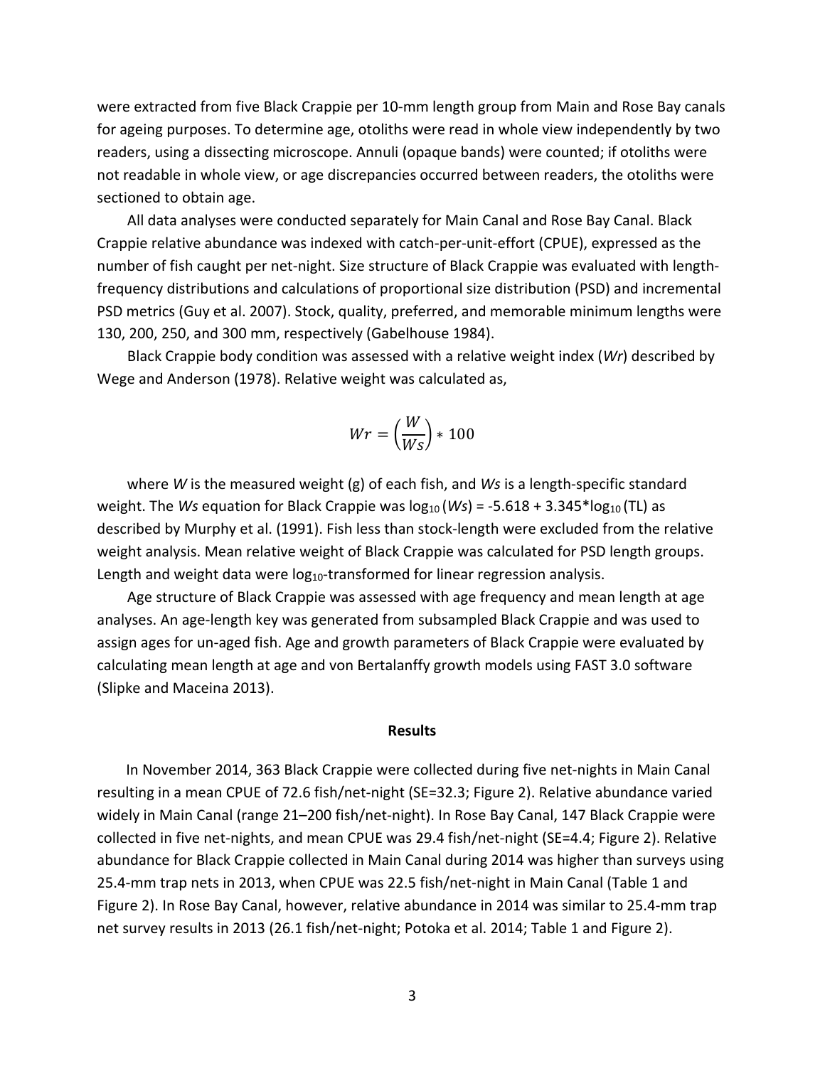were extracted from five Black Crappie per 10-mm length group from Main and Rose Bay canals for ageing purposes. To determine age, otoliths were read in whole view independently by two readers, using a dissecting microscope. Annuli (opaque bands) were counted; if otoliths were not readable in whole view, or age discrepancies occurred between readers, the otoliths were sectioned to obtain age.

All data analyses were conducted separately for Main Canal and Rose Bay Canal. Black Crappie relative abundance was indexed with catch-per-unit-effort (CPUE), expressed as the number of fish caught per net-night. Size structure of Black Crappie was evaluated with lengthfrequency distributions and calculations of proportional size distribution (PSD) and incremental PSD metrics (Guy et al. 2007). Stock, quality, preferred, and memorable minimum lengths were 130, 200, 250, and 300 mm, respectively (Gabelhouse 1984).

Black Crappie body condition was assessed with a relative weight index (*Wr*) described by Wege and Anderson (1978). Relative weight was calculated as,

$$
Wr = \left(\frac{W}{Ws}\right) * 100
$$

where *W* is the measured weight (g) of each fish, and *Ws* is a length-specific standard weight. The *Ws* equation for Black Crappie was  $log_{10}$  (*Ws*) = -5.618 + 3.345\*log<sub>10</sub> (TL) as described by Murphy et al. (1991). Fish less than stock-length were excluded from the relative weight analysis. Mean relative weight of Black Crappie was calculated for PSD length groups. Length and weight data were  $log_{10}$ -transformed for linear regression analysis.

Age structure of Black Crappie was assessed with age frequency and mean length at age analyses. An age-length key was generated from subsampled Black Crappie and was used to assign ages for un-aged fish. Age and growth parameters of Black Crappie were evaluated by calculating mean length at age and von Bertalanffy growth models using FAST 3.0 software (Slipke and Maceina 2013).

#### **Results**

In November 2014, 363 Black Crappie were collected during five net-nights in Main Canal resulting in a mean CPUE of 72.6 fish/net-night (SE=32.3; Figure 2). Relative abundance varied widely in Main Canal (range 21–200 fish/net-night). In Rose Bay Canal, 147 Black Crappie were collected in five net-nights, and mean CPUE was 29.4 fish/net-night (SE=4.4; Figure 2). Relative abundance for Black Crappie collected in Main Canal during 2014 was higher than surveys using 25.4-mm trap nets in 2013, when CPUE was 22.5 fish/net-night in Main Canal (Table 1 and Figure 2). In Rose Bay Canal, however, relative abundance in 2014 was similar to 25.4-mm trap net survey results in 2013 (26.1 fish/net-night; Potoka et al. 2014; Table 1 and Figure 2).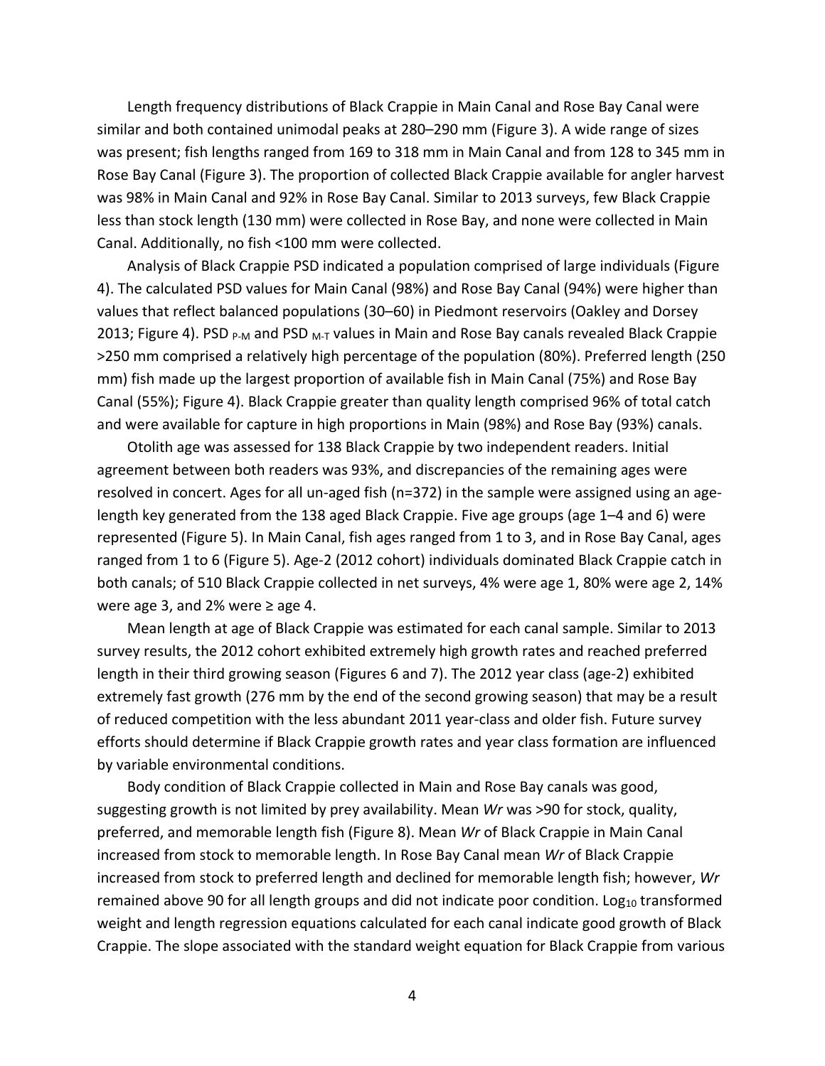Length frequency distributions of Black Crappie in Main Canal and Rose Bay Canal were similar and both contained unimodal peaks at 280–290 mm (Figure 3). A wide range of sizes was present; fish lengths ranged from 169 to 318 mm in Main Canal and from 128 to 345 mm in Rose Bay Canal (Figure 3). The proportion of collected Black Crappie available for angler harvest was 98% in Main Canal and 92% in Rose Bay Canal. Similar to 2013 surveys, few Black Crappie less than stock length (130 mm) were collected in Rose Bay, and none were collected in Main Canal. Additionally, no fish <100 mm were collected.

Analysis of Black Crappie PSD indicated a population comprised of large individuals (Figure 4). The calculated PSD values for Main Canal (98%) and Rose Bay Canal (94%) were higher than values that reflect balanced populations (30–60) in Piedmont reservoirs (Oakley and Dorsey 2013; Figure 4). PSD  $_{P-M}$  and PSD  $_{M-T}$  values in Main and Rose Bay canals revealed Black Crappie >250 mm comprised a relatively high percentage of the population (80%). Preferred length (250 mm) fish made up the largest proportion of available fish in Main Canal (75%) and Rose Bay Canal (55%); Figure 4). Black Crappie greater than quality length comprised 96% of total catch and were available for capture in high proportions in Main (98%) and Rose Bay (93%) canals.

Otolith age was assessed for 138 Black Crappie by two independent readers. Initial agreement between both readers was 93%, and discrepancies of the remaining ages were resolved in concert. Ages for all un-aged fish (n=372) in the sample were assigned using an agelength key generated from the 138 aged Black Crappie. Five age groups (age 1–4 and 6) were represented (Figure 5). In Main Canal, fish ages ranged from 1 to 3, and in Rose Bay Canal, ages ranged from 1 to 6 (Figure 5). Age-2 (2012 cohort) individuals dominated Black Crappie catch in both canals; of 510 Black Crappie collected in net surveys, 4% were age 1, 80% were age 2, 14% were age 3, and 2% were  $\geq$  age 4.

Mean length at age of Black Crappie was estimated for each canal sample. Similar to 2013 survey results, the 2012 cohort exhibited extremely high growth rates and reached preferred length in their third growing season (Figures 6 and 7). The 2012 year class (age-2) exhibited extremely fast growth (276 mm by the end of the second growing season) that may be a result of reduced competition with the less abundant 2011 year-class and older fish. Future survey efforts should determine if Black Crappie growth rates and year class formation are influenced by variable environmental conditions.

Body condition of Black Crappie collected in Main and Rose Bay canals was good, suggesting growth is not limited by prey availability. Mean *Wr* was >90 for stock, quality, preferred, and memorable length fish (Figure 8). Mean *Wr* of Black Crappie in Main Canal increased from stock to memorable length. In Rose Bay Canal mean *Wr* of Black Crappie increased from stock to preferred length and declined for memorable length fish; however, *Wr* remained above 90 for all length groups and did not indicate poor condition. Log<sub>10</sub> transformed weight and length regression equations calculated for each canal indicate good growth of Black Crappie. The slope associated with the standard weight equation for Black Crappie from various

4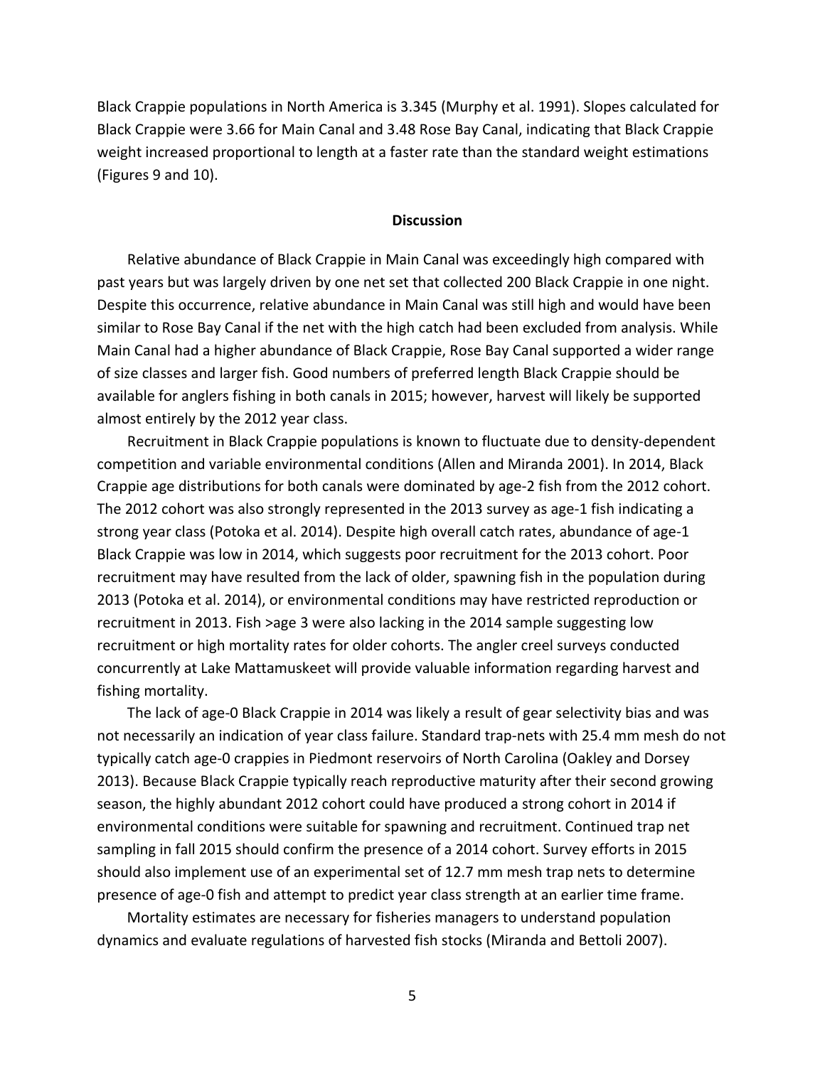Black Crappie populations in North America is 3.345 (Murphy et al. 1991). Slopes calculated for Black Crappie were 3.66 for Main Canal and 3.48 Rose Bay Canal, indicating that Black Crappie weight increased proportional to length at a faster rate than the standard weight estimations (Figures 9 and 10).

## **Discussion**

Relative abundance of Black Crappie in Main Canal was exceedingly high compared with past years but was largely driven by one net set that collected 200 Black Crappie in one night. Despite this occurrence, relative abundance in Main Canal was still high and would have been similar to Rose Bay Canal if the net with the high catch had been excluded from analysis. While Main Canal had a higher abundance of Black Crappie, Rose Bay Canal supported a wider range of size classes and larger fish. Good numbers of preferred length Black Crappie should be available for anglers fishing in both canals in 2015; however, harvest will likely be supported almost entirely by the 2012 year class.

Recruitment in Black Crappie populations is known to fluctuate due to density-dependent competition and variable environmental conditions (Allen and Miranda 2001). In 2014, Black Crappie age distributions for both canals were dominated by age-2 fish from the 2012 cohort. The 2012 cohort was also strongly represented in the 2013 survey as age-1 fish indicating a strong year class (Potoka et al. 2014). Despite high overall catch rates, abundance of age-1 Black Crappie was low in 2014, which suggests poor recruitment for the 2013 cohort. Poor recruitment may have resulted from the lack of older, spawning fish in the population during 2013 (Potoka et al. 2014), or environmental conditions may have restricted reproduction or recruitment in 2013. Fish >age 3 were also lacking in the 2014 sample suggesting low recruitment or high mortality rates for older cohorts. The angler creel surveys conducted concurrently at Lake Mattamuskeet will provide valuable information regarding harvest and fishing mortality.

The lack of age-0 Black Crappie in 2014 was likely a result of gear selectivity bias and was not necessarily an indication of year class failure. Standard trap-nets with 25.4 mm mesh do not typically catch age-0 crappies in Piedmont reservoirs of North Carolina (Oakley and Dorsey 2013). Because Black Crappie typically reach reproductive maturity after their second growing season, the highly abundant 2012 cohort could have produced a strong cohort in 2014 if environmental conditions were suitable for spawning and recruitment. Continued trap net sampling in fall 2015 should confirm the presence of a 2014 cohort. Survey efforts in 2015 should also implement use of an experimental set of 12.7 mm mesh trap nets to determine presence of age-0 fish and attempt to predict year class strength at an earlier time frame.

Mortality estimates are necessary for fisheries managers to understand population dynamics and evaluate regulations of harvested fish stocks (Miranda and Bettoli 2007).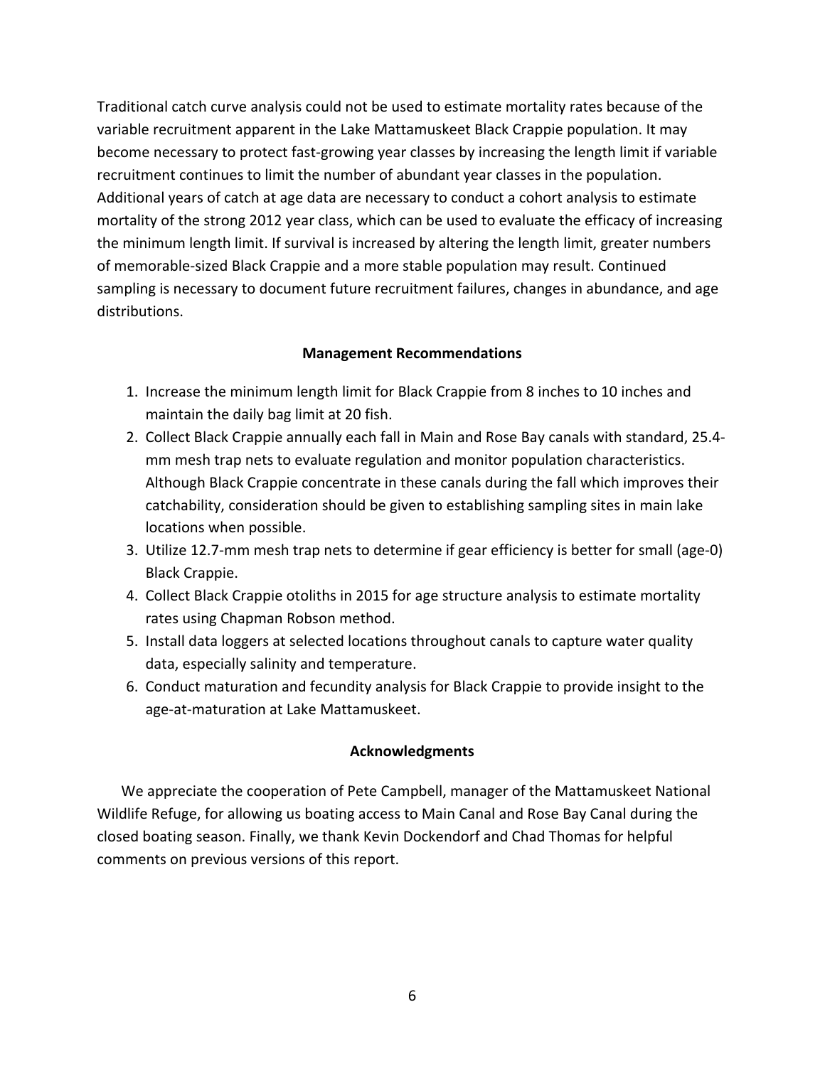Traditional catch curve analysis could not be used to estimate mortality rates because of the variable recruitment apparent in the Lake Mattamuskeet Black Crappie population. It may become necessary to protect fast-growing year classes by increasing the length limit if variable recruitment continues to limit the number of abundant year classes in the population. Additional years of catch at age data are necessary to conduct a cohort analysis to estimate mortality of the strong 2012 year class, which can be used to evaluate the efficacy of increasing the minimum length limit. If survival is increased by altering the length limit, greater numbers of memorable-sized Black Crappie and a more stable population may result. Continued sampling is necessary to document future recruitment failures, changes in abundance, and age distributions.

# **Management Recommendations**

- 1. Increase the minimum length limit for Black Crappie from 8 inches to 10 inches and maintain the daily bag limit at 20 fish.
- 2. Collect Black Crappie annually each fall in Main and Rose Bay canals with standard, 25.4 mm mesh trap nets to evaluate regulation and monitor population characteristics. Although Black Crappie concentrate in these canals during the fall which improves their catchability, consideration should be given to establishing sampling sites in main lake locations when possible.
- 3. Utilize 12.7-mm mesh trap nets to determine if gear efficiency is better for small (age-0) Black Crappie.
- 4. Collect Black Crappie otoliths in 2015 for age structure analysis to estimate mortality rates using Chapman Robson method.
- 5. Install data loggers at selected locations throughout canals to capture water quality data, especially salinity and temperature.
- 6. Conduct maturation and fecundity analysis for Black Crappie to provide insight to the age-at-maturation at Lake Mattamuskeet.

# **Acknowledgments**

We appreciate the cooperation of Pete Campbell, manager of the Mattamuskeet National Wildlife Refuge, for allowing us boating access to Main Canal and Rose Bay Canal during the closed boating season. Finally, we thank Kevin Dockendorf and Chad Thomas for helpful comments on previous versions of this report.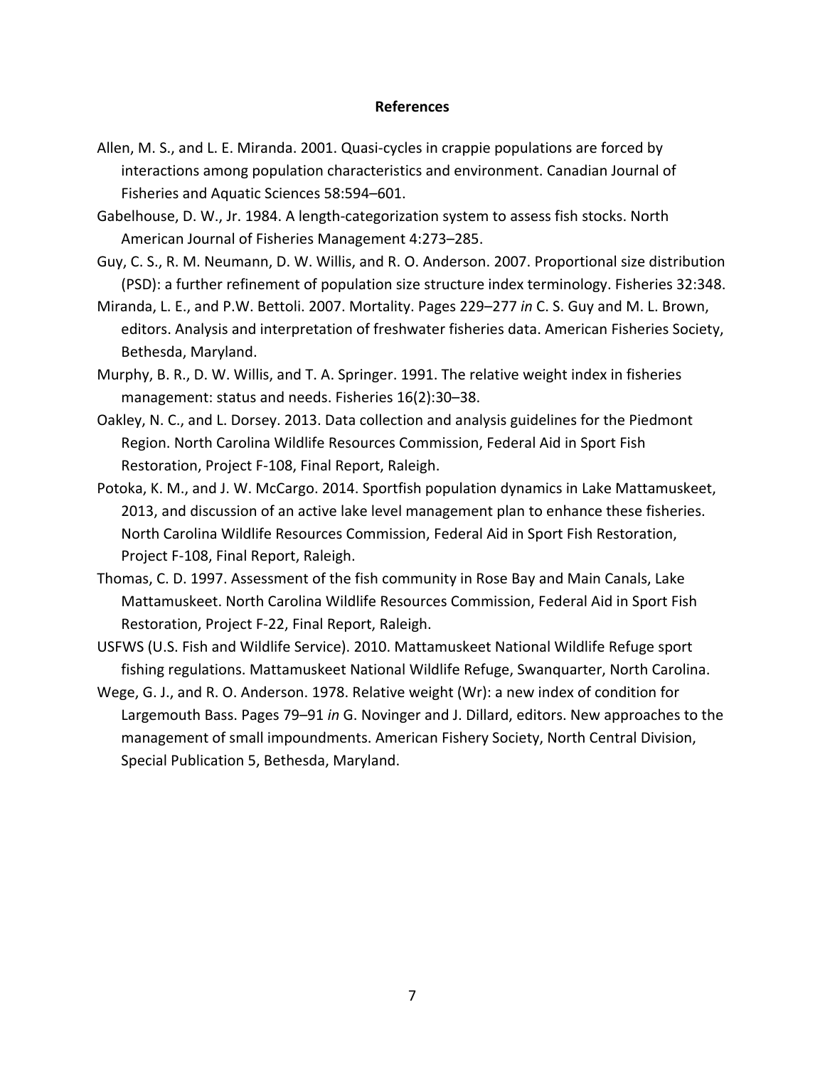## **References**

- Allen, M. S., and L. E. Miranda. 2001. Quasi-cycles in crappie populations are forced by interactions among population characteristics and environment. Canadian Journal of Fisheries and Aquatic Sciences 58:594–601.
- Gabelhouse, D. W., Jr. 1984. A length-categorization system to assess fish stocks. North American Journal of Fisheries Management 4:273–285.
- Guy, C. S., R. M. Neumann, D. W. Willis, and R. O. Anderson. 2007. Proportional size distribution (PSD): a further refinement of population size structure index terminology. Fisheries 32:348.
- Miranda, L. E., and P.W. Bettoli. 2007. Mortality. Pages 229–277 *in* C. S. Guy and M. L. Brown, editors. Analysis and interpretation of freshwater fisheries data. American Fisheries Society, Bethesda, Maryland.
- Murphy, B. R., D. W. Willis, and T. A. Springer. 1991. The relative weight index in fisheries management: status and needs. Fisheries 16(2):30–38.
- Oakley, N. C., and L. Dorsey. 2013. Data collection and analysis guidelines for the Piedmont Region. North Carolina Wildlife Resources Commission, Federal Aid in Sport Fish Restoration, Project F-108, Final Report, Raleigh.
- Potoka, K. M., and J. W. McCargo. 2014. Sportfish population dynamics in Lake Mattamuskeet, 2013, and discussion of an active lake level management plan to enhance these fisheries. North Carolina Wildlife Resources Commission, Federal Aid in Sport Fish Restoration, Project F-108, Final Report, Raleigh.
- Thomas, C. D. 1997. Assessment of the fish community in Rose Bay and Main Canals, Lake Mattamuskeet. North Carolina Wildlife Resources Commission, Federal Aid in Sport Fish Restoration, Project F-22, Final Report, Raleigh.
- USFWS (U.S. Fish and Wildlife Service). 2010. Mattamuskeet National Wildlife Refuge sport fishing regulations. Mattamuskeet National Wildlife Refuge, Swanquarter, North Carolina.
- Wege, G. J., and R. O. Anderson. 1978. Relative weight (Wr): a new index of condition for Largemouth Bass. Pages 79–91 *in* G. Novinger and J. Dillard, editors. New approaches to the management of small impoundments. American Fishery Society, North Central Division, Special Publication 5, Bethesda, Maryland.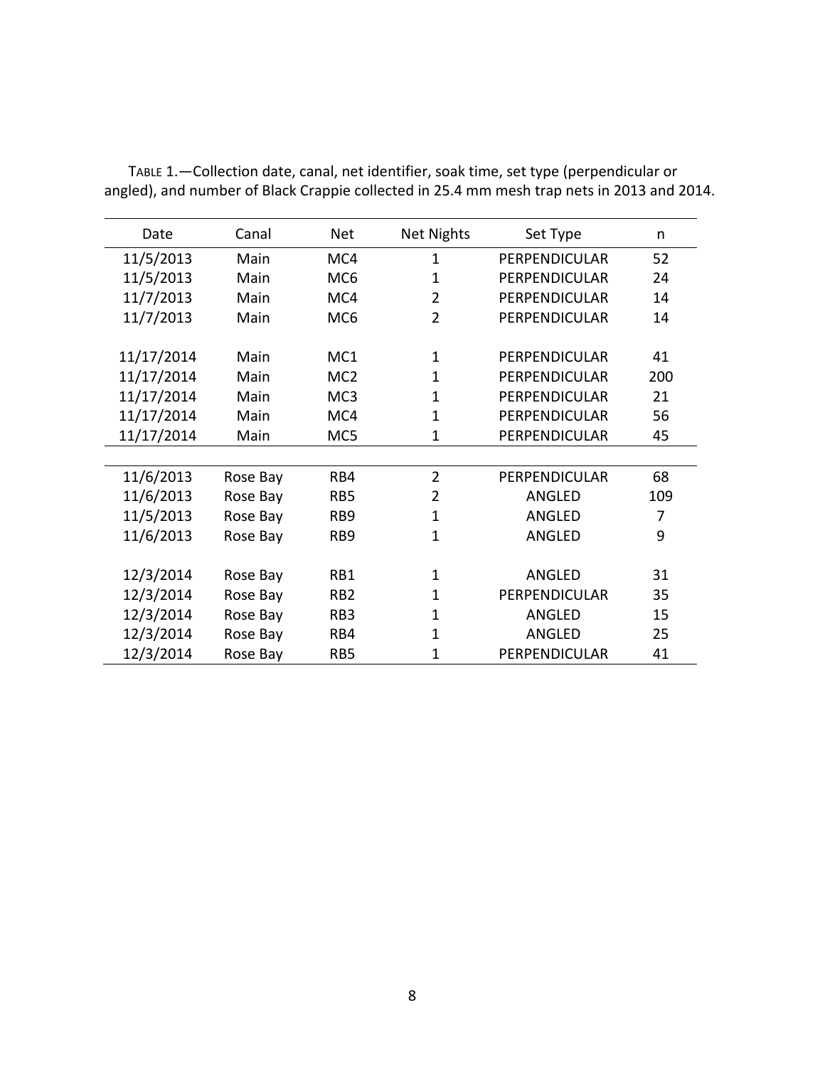| Date       | Canal    | <b>Net</b>      | <b>Net Nights</b> | Set Type             | n   |
|------------|----------|-----------------|-------------------|----------------------|-----|
| 11/5/2013  | Main     | MC4             | $\mathbf{1}$      | <b>PERPENDICULAR</b> | 52  |
| 11/5/2013  | Main     | MC <sub>6</sub> | $\mathbf{1}$      | PERPENDICULAR        | 24  |
| 11/7/2013  | Main     | MC4             | $\overline{2}$    | PERPENDICULAR        | 14  |
| 11/7/2013  | Main     | MC <sub>6</sub> | $\overline{2}$    | PERPENDICULAR        | 14  |
| 11/17/2014 | Main     | MC1             | $\mathbf{1}$      | <b>PERPENDICULAR</b> | 41  |
| 11/17/2014 | Main     | MC <sub>2</sub> | $\mathbf{1}$      | PERPENDICULAR        | 200 |
| 11/17/2014 | Main     | MC <sub>3</sub> | $\mathbf{1}$      | <b>PERPENDICULAR</b> | 21  |
| 11/17/2014 | Main     | MC4             | $\mathbf{1}$      | <b>PERPENDICULAR</b> | 56  |
| 11/17/2014 | Main     | MC5             | $\mathbf{1}$      | PERPENDICULAR        | 45  |
|            |          |                 |                   |                      |     |
| 11/6/2013  | Rose Bay | RB4             | $\overline{2}$    | PERPENDICULAR        | 68  |
| 11/6/2013  | Rose Bay | RB <sub>5</sub> | $\overline{2}$    | ANGLED               | 109 |
| 11/5/2013  | Rose Bay | RB9             | $\mathbf{1}$      | ANGLED               | 7   |
| 11/6/2013  | Rose Bay | RB <sub>9</sub> | $\mathbf{1}$      | ANGLED               | 9   |
|            |          |                 |                   |                      |     |
| 12/3/2014  | Rose Bay | RB1             | 1                 | ANGLED               | 31  |
| 12/3/2014  | Rose Bay | RB <sub>2</sub> | $\mathbf{1}$      | PERPENDICULAR        | 35  |
| 12/3/2014  | Rose Bay | RB <sub>3</sub> | $\mathbf{1}$      | ANGLED               | 15  |
| 12/3/2014  | Rose Bay | RB4             | $\mathbf{1}$      | ANGLED               | 25  |
| 12/3/2014  | Rose Bay | RB <sub>5</sub> | 1                 | PERPENDICULAR        | 41  |

TABLE 1.—Collection date, canal, net identifier, soak time, set type (perpendicular or angled), and number of Black Crappie collected in 25.4 mm mesh trap nets in 2013 and 2014.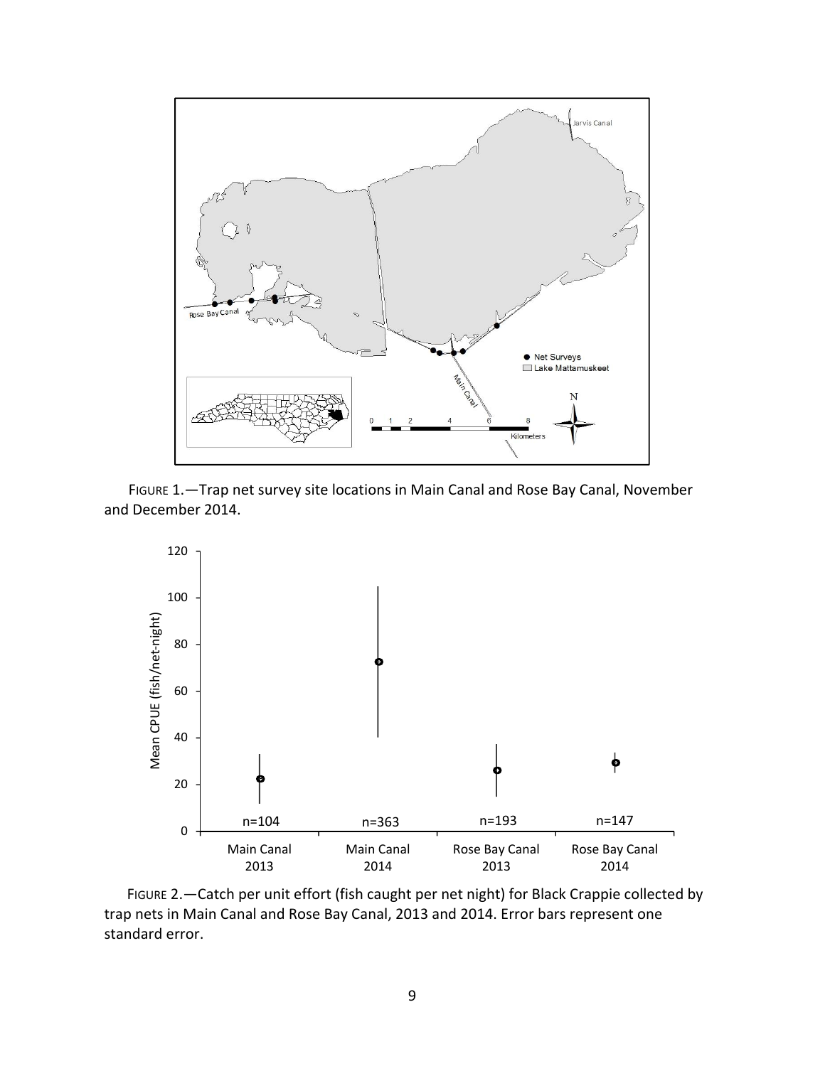

FIGURE 1.—Trap net survey site locations in Main Canal and Rose Bay Canal, November and December 2014.



FIGURE 2.—Catch per unit effort (fish caught per net night) for Black Crappie collected by trap nets in Main Canal and Rose Bay Canal, 2013 and 2014. Error bars represent one standard error.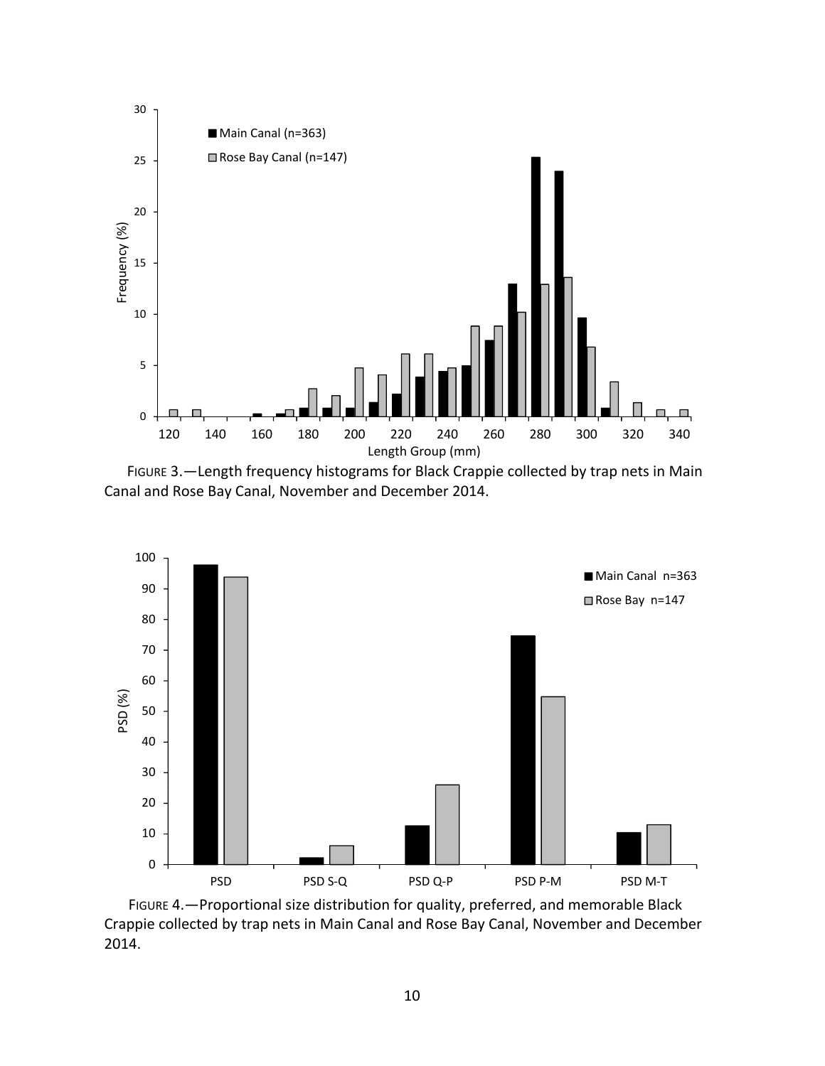

FIGURE 3.—Length frequency histograms for Black Crappie collected by trap nets in Main Canal and Rose Bay Canal, November and December 2014.



FIGURE 4.—Proportional size distribution for quality, preferred, and memorable Black Crappie collected by trap nets in Main Canal and Rose Bay Canal, November and December 2014.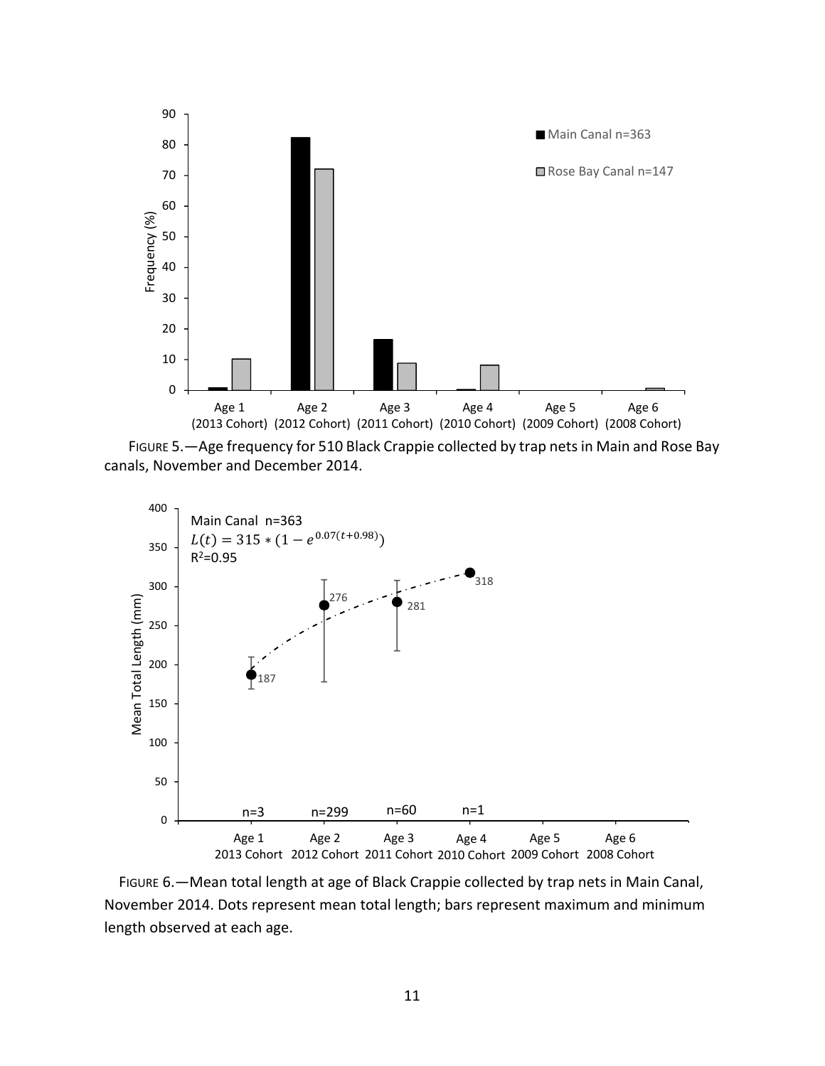

FIGURE 5.—Age frequency for 510 Black Crappie collected by trap nets in Main and Rose Bay canals, November and December 2014.



 FIGURE 6.—Mean total length at age of Black Crappie collected by trap nets in Main Canal, November 2014. Dots represent mean total length; bars represent maximum and minimum length observed at each age.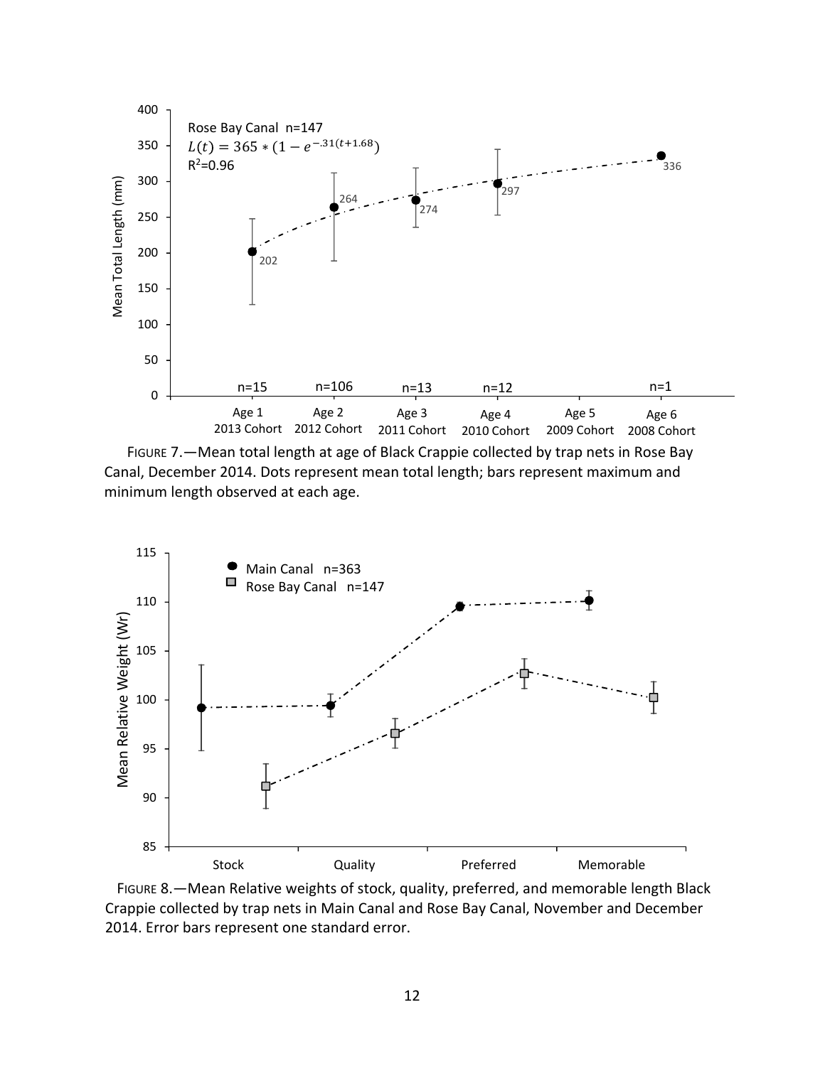





 FIGURE 8.—Mean Relative weights of stock, quality, preferred, and memorable length Black Crappie collected by trap nets in Main Canal and Rose Bay Canal, November and December 2014. Error bars represent one standard error.